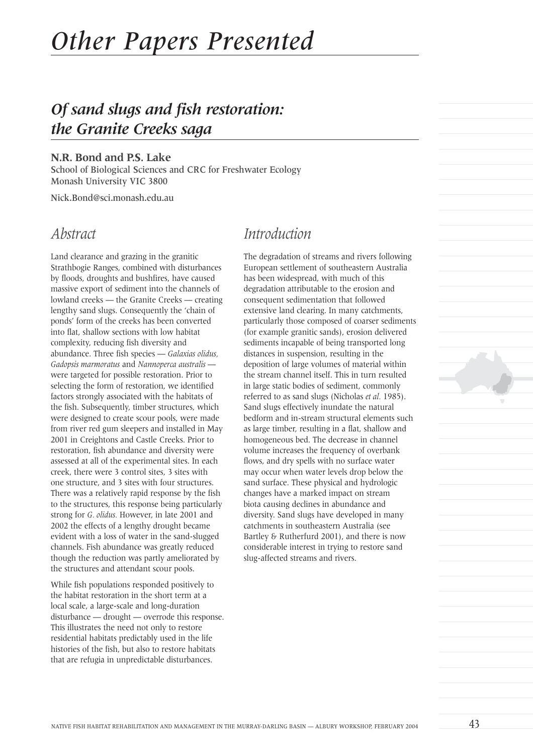# *Other Papers Presented*

# *Of sand slugs and fish restoration: the Granite Creeks saga*

#### **N.R. Bond and P.S. Lake**

School of Biological Sciences and CRC for Freshwater Ecology Monash University VIC 3800

Nick.Bond@sci.monash.edu.au

#### *Abstract*

Land clearance and grazing in the granitic Strathbogie Ranges, combined with disturbances by floods, droughts and bushfires, have caused massive export of sediment into the channels of lowland creeks — the Granite Creeks — creating lengthy sand slugs. Consequently the 'chain of ponds' form of the creeks has been converted into flat, shallow sections with low habitat complexity, reducing fish diversity and abundance. Three fish species — *Galaxias olidus, Gadopsis marmoratus* and *Nannoperca australis*  were targeted for possible restoration. Prior to selecting the form of restoration, we identified factors strongly associated with the habitats of the fish. Subsequently, timber structures, which were designed to create scour pools, were made from river red gum sleepers and installed in May 2001 in Creightons and Castle Creeks. Prior to restoration, fish abundance and diversity were assessed at all of the experimental sites. In each creek, there were 3 control sites, 3 sites with one structure, and 3 sites with four structures. There was a relatively rapid response by the fish to the structures, this response being particularly strong for *G. olidus.* However, in late 2001 and 2002 the effects of a lengthy drought became evident with a loss of water in the sand-slugged channels. Fish abundance was greatly reduced though the reduction was partly ameliorated by the structures and attendant scour pools.

While fish populations responded positively to the habitat restoration in the short term at a local scale, a large-scale and long-duration disturbance — drought — overrode this response. This illustrates the need not only to restore residential habitats predictably used in the life histories of the fish, but also to restore habitats that are refugia in unpredictable disturbances.

#### *Introduction*

The degradation of streams and rivers following European settlement of southeastern Australia has been widespread, with much of this degradation attributable to the erosion and consequent sedimentation that followed extensive land clearing. In many catchments, particularly those composed of coarser sediments (for example granitic sands), erosion delivered sediments incapable of being transported long distances in suspension, resulting in the deposition of large volumes of material within the stream channel itself. This in turn resulted in large static bodies of sediment, commonly referred to as sand slugs (Nicholas *et al.* 1985). Sand slugs effectively inundate the natural bedform and in-stream structural elements such as large timber, resulting in a flat, shallow and homogeneous bed. The decrease in channel volume increases the frequency of overbank flows, and dry spells with no surface water may occur when water levels drop below the sand surface. These physical and hydrologic changes have a marked impact on stream biota causing declines in abundance and diversity. Sand slugs have developed in many catchments in southeastern Australia (see Bartley & Rutherfurd 2001), and there is now considerable interest in trying to restore sand slug-affected streams and rivers.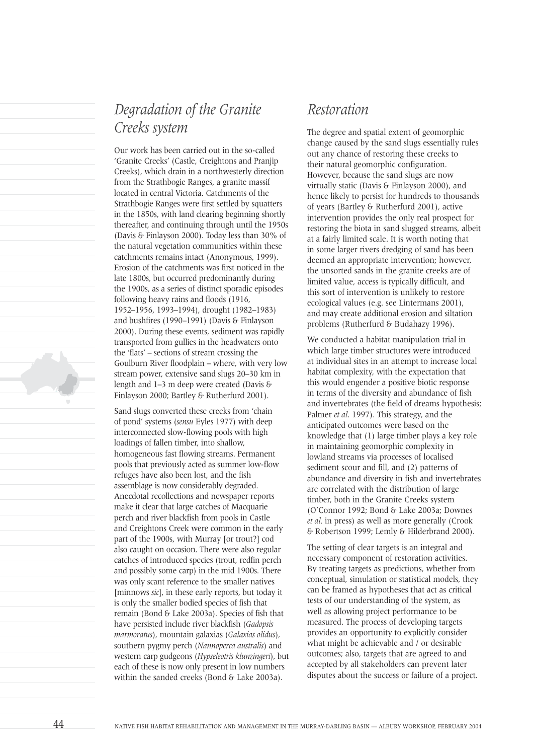## *Degradation of the Granite Creeks system*

Our work has been carried out in the so-called 'Granite Creeks' (Castle, Creightons and Pranjip Creeks), which drain in a northwesterly direction from the Strathbogie Ranges, a granite massif located in central Victoria. Catchments of the Strathbogie Ranges were first settled by squatters in the 1850s, with land clearing beginning shortly thereafter, and continuing through until the 1950s (Davis & Finlayson 2000). Today less than 30% of the natural vegetation communities within these catchments remains intact (Anonymous, 1999). Erosion of the catchments was first noticed in the late 1800s, but occurred predominantly during the 1900s, as a series of distinct sporadic episodes following heavy rains and floods (1916, 1952–1956, 1993–1994), drought (1982–1983) and bushfires (1990–1991) (Davis & Finlayson 2000). During these events, sediment was rapidly transported from gullies in the headwaters onto the 'flats' – sections of stream crossing the Goulburn River floodplain – where, with very low stream power, extensive sand slugs 20–30 km in length and 1–3 m deep were created (Davis & Finlayson 2000; Bartley & Rutherfurd 2001).

Sand slugs converted these creeks from 'chain of pond' systems (*sensu* Eyles 1977) with deep interconnected slow-flowing pools with high loadings of fallen timber, into shallow, homogeneous fast flowing streams. Permanent pools that previously acted as summer low-flow refuges have also been lost, and the fish assemblage is now considerably degraded. Anecdotal recollections and newspaper reports make it clear that large catches of Macquarie perch and river blackfish from pools in Castle and Creightons Creek were common in the early part of the 1900s, with Murray [or trout?] cod also caught on occasion. There were also regular catches of introduced species (trout, redfin perch and possibly some carp) in the mid 1900s. There was only scant reference to the smaller natives [minnows *sic*], in these early reports, but today it is only the smaller bodied species of fish that remain (Bond & Lake 2003a). Species of fish that have persisted include river blackfish (*Gadopsis marmoratus*), mountain galaxias (*Galaxias olidus*), southern pygmy perch (*Nannoperca australis*) and western carp gudgeons (*Hypseleotris klunzingeri*), but each of these is now only present in low numbers within the sanded creeks (Bond & Lake 2003a).

#### *Restoration*

The degree and spatial extent of geomorphic change caused by the sand slugs essentially rules out any chance of restoring these creeks to their natural geomorphic configuration. However, because the sand slugs are now virtually static (Davis & Finlayson 2000), and hence likely to persist for hundreds to thousands of years (Bartley & Rutherfurd 2001), active intervention provides the only real prospect for restoring the biota in sand slugged streams, albeit at a fairly limited scale. It is worth noting that in some larger rivers dredging of sand has been deemed an appropriate intervention; however, the unsorted sands in the granite creeks are of limited value, access is typically difficult, and this sort of intervention is unlikely to restore ecological values (e.g. see Lintermans 2001), and may create additional erosion and siltation problems (Rutherfurd & Budahazy 1996).

We conducted a habitat manipulation trial in which large timber structures were introduced at individual sites in an attempt to increase local habitat complexity, with the expectation that this would engender a positive biotic response in terms of the diversity and abundance of fish and invertebrates (the field of dreams hypothesis; Palmer *et al*. 1997). This strategy, and the anticipated outcomes were based on the knowledge that (1) large timber plays a key role in maintaining geomorphic complexity in lowland streams via processes of localised sediment scour and fill, and (2) patterns of abundance and diversity in fish and invertebrates are correlated with the distribution of large timber, both in the Granite Creeks system (O'Connor 1992; Bond & Lake 2003a; Downes *et al.* in press) as well as more generally (Crook & Robertson 1999; Lemly & Hilderbrand 2000).

The setting of clear targets is an integral and necessary component of restoration activities. By treating targets as predictions, whether from conceptual, simulation or statistical models, they can be framed as hypotheses that act as critical tests of our understanding of the system, as well as allowing project performance to be measured. The process of developing targets provides an opportunity to explicitly consider what might be achievable and / or desirable outcomes; also, targets that are agreed to and accepted by all stakeholders can prevent later disputes about the success or failure of a project.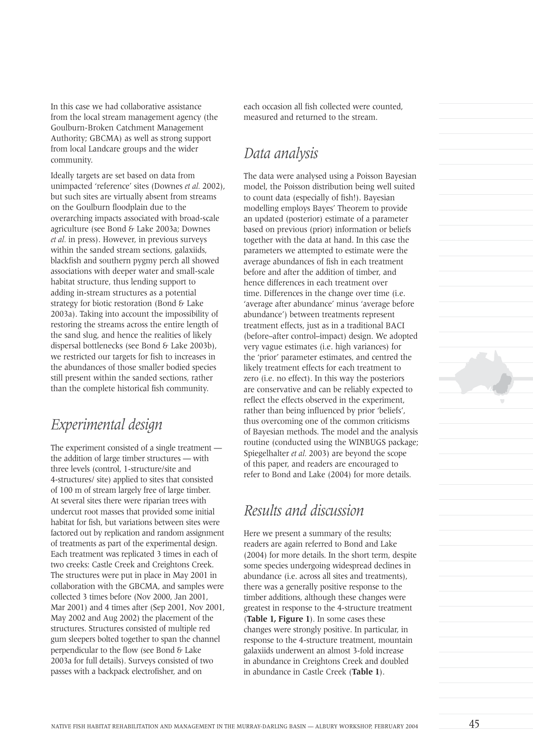In this case we had collaborative assistance from the local stream management agency (the Goulburn-Broken Catchment Management Authority; GBCMA) as well as strong support from local Landcare groups and the wider community.

Ideally targets are set based on data from unimpacted 'reference' sites (Downes *et al.* 2002), but such sites are virtually absent from streams on the Goulburn floodplain due to the overarching impacts associated with broad-scale agriculture (see Bond & Lake 2003a; Downes *et al.* in press). However, in previous surveys within the sanded stream sections, galaxiids, blackfish and southern pygmy perch all showed associations with deeper water and small-scale habitat structure, thus lending support to adding in-stream structures as a potential strategy for biotic restoration (Bond & Lake 2003a). Taking into account the impossibility of restoring the streams across the entire length of the sand slug, and hence the realities of likely dispersal bottlenecks (see Bond & Lake 2003b), we restricted our targets for fish to increases in the abundances of those smaller bodied species still present within the sanded sections, rather than the complete historical fish community.

### *Experimental design*

The experiment consisted of a single treatment the addition of large timber structures — with three levels (control, 1-structure/site and 4-structures/ site) applied to sites that consisted of 100 m of stream largely free of large timber. At several sites there were riparian trees with undercut root masses that provided some initial habitat for fish, but variations between sites were factored out by replication and random assignment of treatments as part of the experimental design. Each treatment was replicated 3 times in each of two creeks: Castle Creek and Creightons Creek. The structures were put in place in May 2001 in collaboration with the GBCMA, and samples were collected 3 times before (Nov 2000, Jan 2001, Mar 2001) and 4 times after (Sep 2001, Nov 2001, May 2002 and Aug 2002) the placement of the structures. Structures consisted of multiple red gum sleepers bolted together to span the channel perpendicular to the flow (see Bond & Lake 2003a for full details). Surveys consisted of two passes with a backpack electrofisher, and on

each occasion all fish collected were counted, measured and returned to the stream.

#### *Data analysis*

The data were analysed using a Poisson Bayesian model, the Poisson distribution being well suited to count data (especially of fish!). Bayesian modelling employs Bayes' Theorem to provide an updated (posterior) estimate of a parameter based on previous (prior) information or beliefs together with the data at hand. In this case the parameters we attempted to estimate were the average abundances of fish in each treatment before and after the addition of timber, and hence differences in each treatment over time. Differences in the change over time (i.e. 'average after abundance' minus 'average before abundance') between treatments represent treatment effects, just as in a traditional BACI (before–after control–impact) design. We adopted very vague estimates (i.e. high variances) for the 'prior' parameter estimates, and centred the likely treatment effects for each treatment to zero (i.e. no effect). In this way the posteriors are conservative and can be reliably expected to reflect the effects observed in the experiment, rather than being influenced by prior 'beliefs', thus overcoming one of the common criticisms of Bayesian methods. The model and the analysis routine (conducted using the WINBUGS package; Spiegelhalter *et al.* 2003) are beyond the scope of this paper, and readers are encouraged to refer to Bond and Lake (2004) for more details.

#### *Results and discussion*

Here we present a summary of the results; readers are again referred to Bond and Lake (2004) for more details. In the short term, despite some species undergoing widespread declines in abundance (i.e. across all sites and treatments), there was a generally positive response to the timber additions, although these changes were greatest in response to the 4-structure treatment (**Table 1, Figure 1**). In some cases these changes were strongly positive. In particular, in response to the 4-structure treatment, mountain galaxiids underwent an almost 3-fold increase in abundance in Creightons Creek and doubled in abundance in Castle Creek (**Table 1**).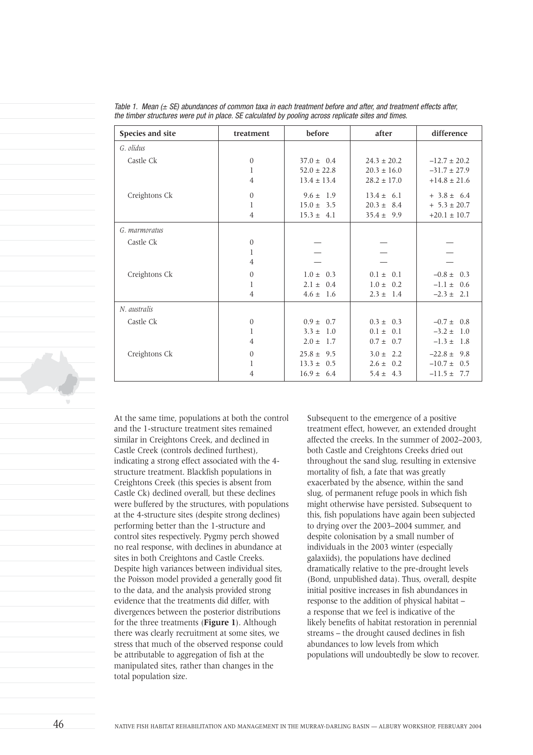| Species and site | treatment      | before          | after            | difference       |
|------------------|----------------|-----------------|------------------|------------------|
| G. olidus        |                |                 |                  |                  |
| Castle Ck        | $\mathbf{0}$   | $37.0 \pm 0.4$  | $24.3 \pm 20.2$  | $-12.7 \pm 20.2$ |
|                  | 1              | $52.0 \pm 22.8$ | $20.3 \pm 16.0$  | $-31.7 \pm 27.9$ |
|                  | $\overline{4}$ | $13.4 \pm 13.4$ | $28.2 \pm 17.0$  | $+14.8 \pm 21.6$ |
| Creightons Ck    | $\mathbf{0}$   | $9.6 \pm 1.9$   | $13.4 \pm 6.1$   | $+3.8 \pm 6.4$   |
|                  | 1              | $15.0 \pm 3.5$  | $20.3 \pm 8.4$   | $+ 5.3 \pm 20.7$ |
|                  | 4              | $15.3 \pm 4.1$  | $35.4 \pm 9.9$   | $+20.1 \pm 10.7$ |
| G. marmoratus    |                |                 |                  |                  |
| Castle Ck        | $\mathbf{0}$   |                 |                  |                  |
|                  | 1              |                 |                  |                  |
|                  | $\overline{4}$ |                 |                  |                  |
| Creightons Ck    | $\theta$       | $1.0 \pm 0.3$   | $0.1 \pm$<br>0.1 | $-0.8 \pm 0.3$   |
|                  | 1              | $2.1 \pm 0.4$   | $1.0 \pm 0.2$    | $-1.1 \pm 0.6$   |
|                  | $\overline{4}$ | $4.6 \pm 1.6$   | $2.3 \pm 1.4$    | $-2.3 \pm 2.1$   |
| N. australis     |                |                 |                  |                  |
| Castle Ck        | $\mathbf{0}$   | $0.9 \pm 0.7$   | $0.3 \pm 0.3$    | $-0.7 \pm 0.8$   |
|                  | 1              | $3.3 \pm 1.0$   | $0.1 \pm 0.1$    | $-3.2 \pm 1.0$   |
|                  | 4              | $2.0 \pm 1.7$   | $0.7 \pm 0.7$    | $-1.3 \pm 1.8$   |
| Creightons Ck    | $\theta$       | $25.8 \pm 9.5$  | $3.0 \pm 2.2$    | $-22.8 \pm 9.8$  |
|                  | 1              | $13.3 \pm 0.5$  | $2.6 \pm 0.2$    | $-10.7 \pm 0.5$  |
|                  | 4              | $16.9 \pm 6.4$  | $5.4 \pm 4.3$    | $-11.5 \pm 7.7$  |

Table 1. Mean  $(\pm$  SE) abundances of common taxa in each treatment before and after, and treatment effects after, the timber structures were put in place. SE calculated by pooling across replicate sites and times.

At the same time, populations at both the control and the 1-structure treatment sites remained similar in Creightons Creek, and declined in Castle Creek (controls declined furthest), indicating a strong effect associated with the 4 structure treatment. Blackfish populations in Creightons Creek (this species is absent from Castle Ck) declined overall, but these declines were buffered by the structures, with populations at the 4-structure sites (despite strong declines) performing better than the 1-structure and control sites respectively. Pygmy perch showed no real response, with declines in abundance at sites in both Creightons and Castle Creeks. Despite high variances between individual sites, the Poisson model provided a generally good fit to the data, and the analysis provided strong evidence that the treatments did differ, with divergences between the posterior distributions for the three treatments (**Figure 1**). Although there was clearly recruitment at some sites, we stress that much of the observed response could be attributable to aggregation of fish at the manipulated sites, rather than changes in the total population size.

Subsequent to the emergence of a positive treatment effect, however, an extended drought affected the creeks. In the summer of 2002–2003, both Castle and Creightons Creeks dried out throughout the sand slug, resulting in extensive mortality of fish, a fate that was greatly exacerbated by the absence, within the sand slug, of permanent refuge pools in which fish might otherwise have persisted. Subsequent to this, fish populations have again been subjected to drying over the 2003–2004 summer, and despite colonisation by a small number of individuals in the 2003 winter (especially galaxiids), the populations have declined dramatically relative to the pre-drought levels (Bond, unpublished data). Thus, overall, despite initial positive increases in fish abundances in response to the addition of physical habitat – a response that we feel is indicative of the likely benefits of habitat restoration in perennial streams – the drought caused declines in fish abundances to low levels from which populations will undoubtedly be slow to recover.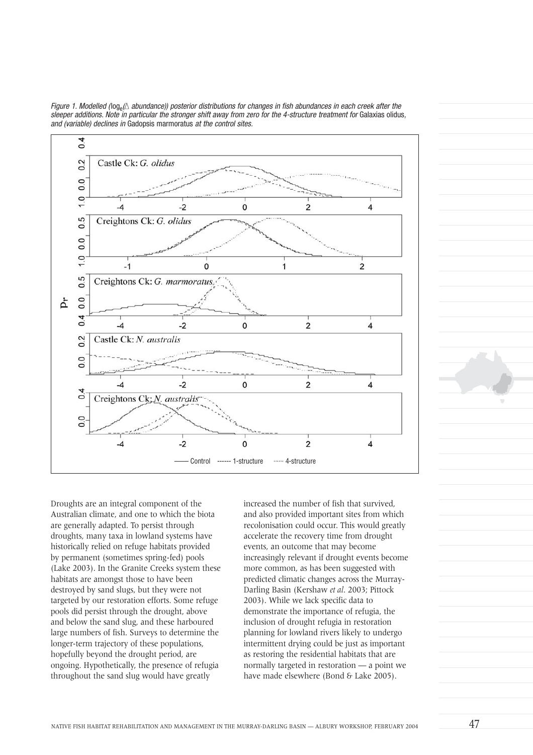

Figure 1. Modelled ( $log_e(\Delta$  abundance)) posterior distributions for changes in fish abundances in each creek after the sleeper additions. Note in particular the stronger shift away from zero for the 4-structure treatment for Galaxias olidus, and (variable) declines in Gadopsis marmoratus at the control sites.

Droughts are an integral component of the Australian climate, and one to which the biota are generally adapted. To persist through droughts, many taxa in lowland systems have historically relied on refuge habitats provided by permanent (sometimes spring-fed) pools (Lake 2003). In the Granite Creeks system these habitats are amongst those to have been destroyed by sand slugs, but they were not targeted by our restoration efforts. Some refuge pools did persist through the drought, above and below the sand slug, and these harboured large numbers of fish. Surveys to determine the longer-term trajectory of these populations, hopefully beyond the drought period, are ongoing. Hypothetically, the presence of refugia throughout the sand slug would have greatly

increased the number of fish that survived, and also provided important sites from which recolonisation could occur. This would greatly accelerate the recovery time from drought events, an outcome that may become increasingly relevant if drought events become more common, as has been suggested with predicted climatic changes across the Murray-Darling Basin (Kershaw *et al*. 2003; Pittock 2003). While we lack specific data to demonstrate the importance of refugia, the inclusion of drought refugia in restoration planning for lowland rivers likely to undergo intermittent drying could be just as important as restoring the residential habitats that are normally targeted in restoration — a point we have made elsewhere (Bond & Lake 2005).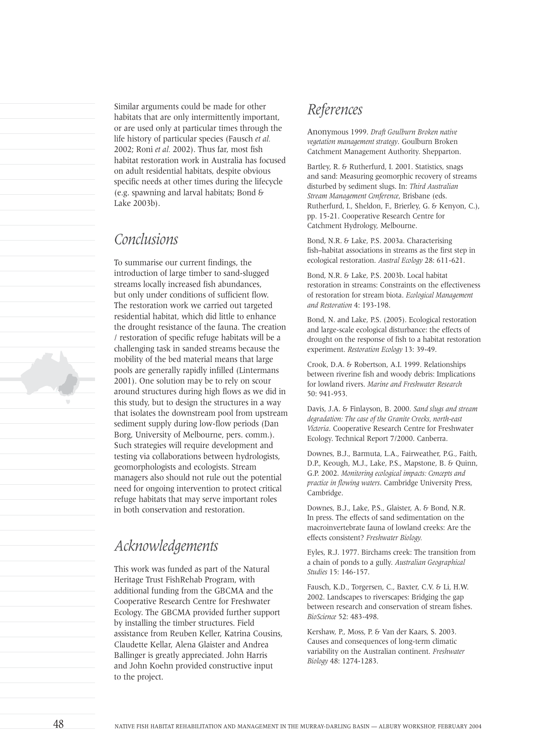Similar arguments could be made for other habitats that are only intermittently important, or are used only at particular times through the life history of particular species (Fausch *et al.* 2002; Roni *et al.* 2002). Thus far, most fish habitat restoration work in Australia has focused on adult residential habitats, despite obvious specific needs at other times during the lifecycle (e.g. spawning and larval habitats; Bond & Lake 2003b).

#### *Conclusions*

To summarise our current findings, the introduction of large timber to sand-slugged streams locally increased fish abundances, but only under conditions of sufficient flow. The restoration work we carried out targeted residential habitat, which did little to enhance the drought resistance of the fauna. The creation / restoration of specific refuge habitats will be a challenging task in sanded streams because the mobility of the bed material means that large pools are generally rapidly infilled (Lintermans 2001). One solution may be to rely on scour around structures during high flows as we did in this study, but to design the structures in a way that isolates the downstream pool from upstream sediment supply during low-flow periods (Dan Borg, University of Melbourne, pers. comm.). Such strategies will require development and testing via collaborations between hydrologists, geomorphologists and ecologists. Stream managers also should not rule out the potential need for ongoing intervention to protect critical refuge habitats that may serve important roles in both conservation and restoration.

### *Acknowledgements*

This work was funded as part of the Natural Heritage Trust FishRehab Program, with additional funding from the GBCMA and the Cooperative Research Centre for Freshwater Ecology. The GBCMA provided further support by installing the timber structures. Field assistance from Reuben Keller, Katrina Cousins, Claudette Kellar, Alena Glaister and Andrea Ballinger is greatly appreciated. John Harris and John Koehn provided constructive input to the project.

#### *References*

Anonymous 1999. *Draft Goulburn Broken native vegetation management strategy*. Goulburn Broken Catchment Management Authority. Shepparton.

Bartley, R. & Rutherfurd, I. 2001. Statistics, snags and sand: Measuring geomorphic recovery of streams disturbed by sediment slugs. In: *Third Australian Stream Management Conference*, Brisbane (eds. Rutherfurd, I., Sheldon, F., Brierley, G. & Kenyon, C.), pp. 15-21. Cooperative Research Centre for Catchment Hydrology, Melbourne.

Bond, N.R. & Lake, P.S. 2003a. Characterising fish–habitat associations in streams as the first step in ecological restoration. *Austral Ecology* 28: 611-621.

Bond, N.R. & Lake, P.S. 2003b. Local habitat restoration in streams: Constraints on the effectiveness of restoration for stream biota. *Ecological Management and Restoration* 4: 193-198.

Bond, N. and Lake, P.S. (2005). Ecological restoration and large-scale ecological disturbance: the effects of drought on the response of fish to a habitat restoration experiment. *Restoration Ecology* 13: 39-49.

Crook, D.A. & Robertson, A.I. 1999. Relationships between riverine fish and woody debris: Implications for lowland rivers. *Marine and Freshwater Research* 50: 941-953.

Davis, J.A. & Finlayson, B. 2000. *Sand slugs and stream degradation: The case of the Granite Creeks, north-east Victoria*. Cooperative Research Centre for Freshwater Ecology. Technical Report 7/2000. Canberra.

Downes, B.J., Barmuta, L.A., Fairweather, P.G., Faith, D.P., Keough, M.J., Lake, P.S., Mapstone, B. & Quinn, G.P. 2002. *Monitoring ecological impacts: Concepts and practice in flowing waters*. Cambridge University Press, Cambridge.

Downes, B.J., Lake, P.S., Glaister, A. & Bond, N.R. In press. The effects of sand sedimentation on the macroinvertebrate fauna of lowland creeks: Are the effects consistent? *Freshwater Biology.*

Eyles, R.J. 1977. Birchams creek: The transition from a chain of ponds to a gully. *Australian Geographical Studies* 15: 146-157.

Fausch, K.D., Torgersen, C., Baxter, C.V. & Li, H.W. 2002. Landscapes to riverscapes: Bridging the gap between research and conservation of stream fishes. *BioScience* 52: 483-498.

Kershaw, P., Moss, P. & Van der Kaars, S. 2003. Causes and consequences of long-term climatic variability on the Australian continent. *Freshwater Biology* 48: 1274-1283.